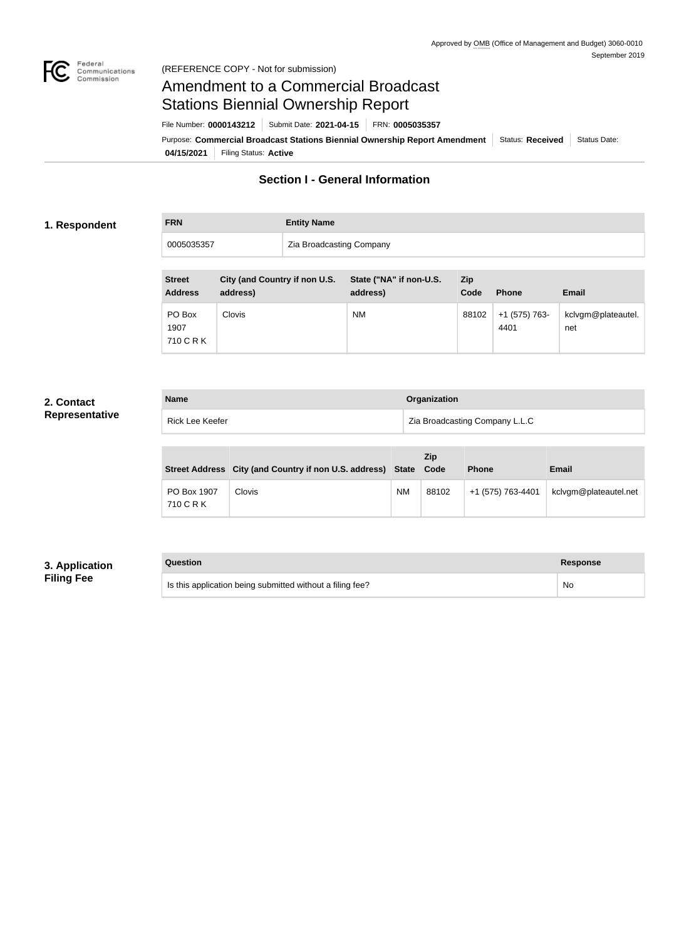

# Amendment to a Commercial Broadcast Stations Biennial Ownership Report

**04/15/2021** Filing Status: **Active** Purpose: Commercial Broadcast Stations Biennial Ownership Report Amendment Status: Received Status Date: File Number: **0000143212** Submit Date: **2021-04-15** FRN: **0005035357**

### **Section I - General Information**

#### **1. Respondent**

**FRN Entity Name**

0005035357 **Zia Broadcasting Company** 

| <b>Street</b><br><b>Address</b> | City (and Country if non U.S.<br>address) | State ("NA" if non-U.S.<br>address) | Zip<br>Code | <b>Phone</b>          | <b>Email</b>              |
|---------------------------------|-------------------------------------------|-------------------------------------|-------------|-----------------------|---------------------------|
| PO Box<br>1907<br>710 C R K     | <b>Clovis</b>                             | <b>NM</b>                           | 88102       | +1 (575) 763-<br>4401 | kclvgm@plateautel.<br>net |

### **2. Contact Representative**

| <b>Name</b>     | Organization                   |
|-----------------|--------------------------------|
| Rick Lee Keefer | Zia Broadcasting Company L.L.C |

|                          | Street Address City (and Country if non U.S. address) State |           | <b>Zip</b><br>Code | <b>Phone</b>      | <b>Email</b>          |
|--------------------------|-------------------------------------------------------------|-----------|--------------------|-------------------|-----------------------|
| PO Box 1907<br>710 C R K | Clovis                                                      | <b>NM</b> | 88102              | +1 (575) 763-4401 | kclvgm@plateautel.net |

### **3. Application Filing Fee**

### **Question Response**

Is this application being submitted without a filing fee? No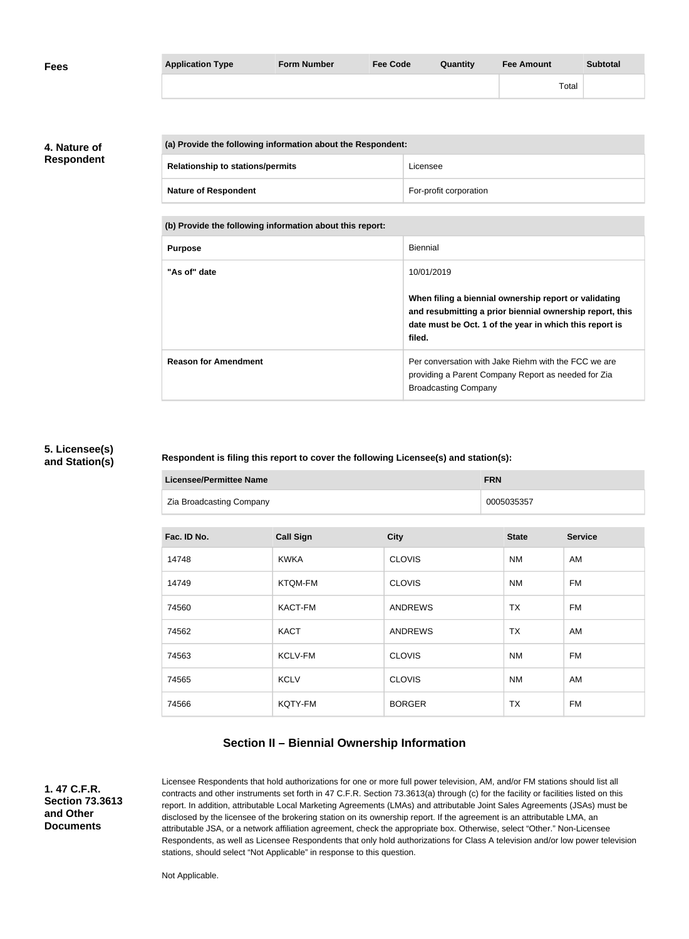| <b>Fees</b> | <b>Application Type</b> | <b>Form Number</b> | <b>Fee Code</b> | <b>Quantity</b> | <b>Fee Amount</b> | <b>Subtotal</b> |
|-------------|-------------------------|--------------------|-----------------|-----------------|-------------------|-----------------|
|             |                         |                    |                 |                 | Total             |                 |

**4. Nature of Respondent**

| (a) Provide the following information about the Respondent: |                                         |                        |
|-------------------------------------------------------------|-----------------------------------------|------------------------|
|                                                             | <b>Relationship to stations/permits</b> | Licensee               |
|                                                             | <b>Nature of Respondent</b>             | For-profit corporation |

**(b) Provide the following information about this report:**

| <b>Purpose</b>              | <b>Biennial</b>                                                                                                                                                                        |
|-----------------------------|----------------------------------------------------------------------------------------------------------------------------------------------------------------------------------------|
| "As of" date                | 10/01/2019                                                                                                                                                                             |
|                             | When filing a biennial ownership report or validating<br>and resubmitting a prior biennial ownership report, this<br>date must be Oct. 1 of the year in which this report is<br>filed. |
| <b>Reason for Amendment</b> | Per conversation with Jake Riehm with the FCC we are<br>providing a Parent Company Report as needed for Zia<br><b>Broadcasting Company</b>                                             |

#### **5. Licensee(s) and Station(s)**

#### **Respondent is filing this report to cover the following Licensee(s) and station(s):**

| Licensee/Permittee Name  | <b>FRN</b> |
|--------------------------|------------|
| Zia Broadcasting Company | 0005035357 |

| Fac. ID No. | <b>Call Sign</b> | <b>City</b>    | <b>State</b> | <b>Service</b> |
|-------------|------------------|----------------|--------------|----------------|
| 14748       | <b>KWKA</b>      | <b>CLOVIS</b>  | <b>NM</b>    | AM             |
| 14749       | <b>KTQM-FM</b>   | <b>CLOVIS</b>  | <b>NM</b>    | <b>FM</b>      |
| 74560       | <b>KACT-FM</b>   | <b>ANDREWS</b> | <b>TX</b>    | <b>FM</b>      |
| 74562       | <b>KACT</b>      | <b>ANDREWS</b> | <b>TX</b>    | AM             |
| 74563       | <b>KCLV-FM</b>   | <b>CLOVIS</b>  | <b>NM</b>    | <b>FM</b>      |
| 74565       | <b>KCLV</b>      | <b>CLOVIS</b>  | <b>NM</b>    | AM             |
| 74566       | KQTY-FM          | <b>BORGER</b>  | <b>TX</b>    | <b>FM</b>      |

### **Section II – Biennial Ownership Information**

**1. 47 C.F.R. Section 73.3613 and Other Documents**

Licensee Respondents that hold authorizations for one or more full power television, AM, and/or FM stations should list all contracts and other instruments set forth in 47 C.F.R. Section 73.3613(a) through (c) for the facility or facilities listed on this report. In addition, attributable Local Marketing Agreements (LMAs) and attributable Joint Sales Agreements (JSAs) must be disclosed by the licensee of the brokering station on its ownership report. If the agreement is an attributable LMA, an attributable JSA, or a network affiliation agreement, check the appropriate box. Otherwise, select "Other." Non-Licensee Respondents, as well as Licensee Respondents that only hold authorizations for Class A television and/or low power television stations, should select "Not Applicable" in response to this question.

Not Applicable.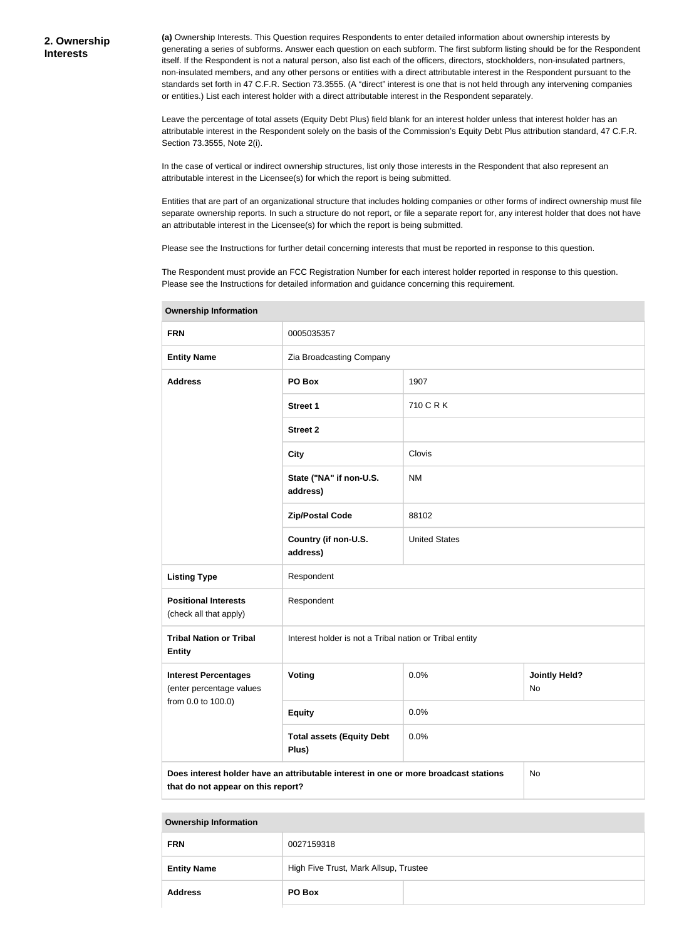**(a)** Ownership Interests. This Question requires Respondents to enter detailed information about ownership interests by generating a series of subforms. Answer each question on each subform. The first subform listing should be for the Respondent itself. If the Respondent is not a natural person, also list each of the officers, directors, stockholders, non-insulated partners, non-insulated members, and any other persons or entities with a direct attributable interest in the Respondent pursuant to the standards set forth in 47 C.F.R. Section 73.3555. (A "direct" interest is one that is not held through any intervening companies or entities.) List each interest holder with a direct attributable interest in the Respondent separately.

Leave the percentage of total assets (Equity Debt Plus) field blank for an interest holder unless that interest holder has an attributable interest in the Respondent solely on the basis of the Commission's Equity Debt Plus attribution standard, 47 C.F.R. Section 73.3555, Note 2(i).

In the case of vertical or indirect ownership structures, list only those interests in the Respondent that also represent an attributable interest in the Licensee(s) for which the report is being submitted.

Entities that are part of an organizational structure that includes holding companies or other forms of indirect ownership must file separate ownership reports. In such a structure do not report, or file a separate report for, any interest holder that does not have an attributable interest in the Licensee(s) for which the report is being submitted.

Please see the Instructions for further detail concerning interests that must be reported in response to this question.

The Respondent must provide an FCC Registration Number for each interest holder reported in response to this question. Please see the Instructions for detailed information and guidance concerning this requirement.

| <u>,,,,,,,,,,,,,,,,,,,,,,,,,,,,</u>                                                                                              |                                                         |                      |                            |  |
|----------------------------------------------------------------------------------------------------------------------------------|---------------------------------------------------------|----------------------|----------------------------|--|
| <b>FRN</b>                                                                                                                       | 0005035357                                              |                      |                            |  |
| <b>Entity Name</b>                                                                                                               | Zia Broadcasting Company                                |                      |                            |  |
| <b>Address</b>                                                                                                                   | PO Box                                                  | 1907                 |                            |  |
|                                                                                                                                  | <b>Street 1</b>                                         | 710 C R K            |                            |  |
|                                                                                                                                  | <b>Street 2</b>                                         |                      |                            |  |
|                                                                                                                                  | <b>City</b>                                             | Clovis               |                            |  |
|                                                                                                                                  | State ("NA" if non-U.S.<br>address)                     | <b>NM</b>            |                            |  |
|                                                                                                                                  | <b>Zip/Postal Code</b>                                  | 88102                |                            |  |
|                                                                                                                                  | Country (if non-U.S.<br>address)                        | <b>United States</b> |                            |  |
| <b>Listing Type</b>                                                                                                              | Respondent                                              |                      |                            |  |
| <b>Positional Interests</b><br>(check all that apply)                                                                            | Respondent                                              |                      |                            |  |
| <b>Tribal Nation or Tribal</b><br><b>Entity</b>                                                                                  | Interest holder is not a Tribal nation or Tribal entity |                      |                            |  |
| <b>Interest Percentages</b><br>(enter percentage values                                                                          | Voting                                                  | 0.0%                 | <b>Jointly Held?</b><br>No |  |
| from 0.0 to 100.0)                                                                                                               | <b>Equity</b>                                           | 0.0%                 |                            |  |
|                                                                                                                                  | <b>Total assets (Equity Debt</b><br>Plus)               | 0.0%                 |                            |  |
| Does interest holder have an attributable interest in one or more broadcast stations<br>No<br>that do not appear on this report? |                                                         |                      |                            |  |

**Ownership Information**

| <b>FRN</b>         | 0027159318                            |  |
|--------------------|---------------------------------------|--|
| <b>Entity Name</b> | High Five Trust, Mark Allsup, Trustee |  |
| <b>Address</b>     | PO Box                                |  |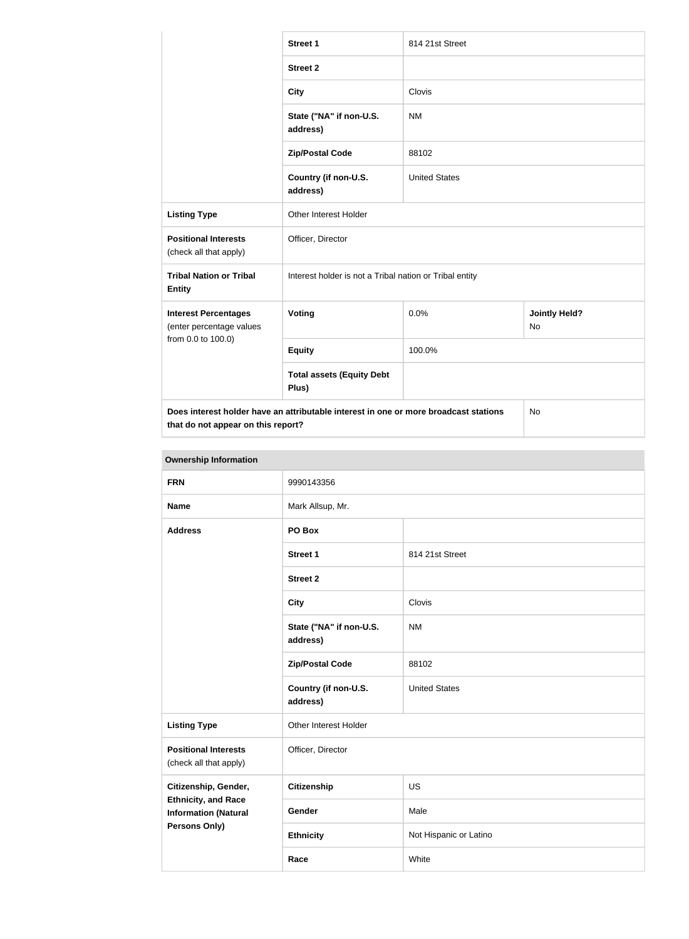|                                                         | <b>Street 1</b>                                                                      | 814 21st Street      |                            |  |
|---------------------------------------------------------|--------------------------------------------------------------------------------------|----------------------|----------------------------|--|
|                                                         | <b>Street 2</b>                                                                      |                      |                            |  |
|                                                         | <b>City</b>                                                                          | Clovis               |                            |  |
|                                                         | State ("NA" if non-U.S.<br>address)                                                  | <b>NM</b>            |                            |  |
|                                                         | <b>Zip/Postal Code</b>                                                               | 88102                |                            |  |
|                                                         | Country (if non-U.S.<br>address)                                                     | <b>United States</b> |                            |  |
| <b>Listing Type</b>                                     | Other Interest Holder                                                                |                      |                            |  |
| <b>Positional Interests</b><br>(check all that apply)   | Officer, Director                                                                    |                      |                            |  |
| <b>Tribal Nation or Tribal</b><br><b>Entity</b>         | Interest holder is not a Tribal nation or Tribal entity                              |                      |                            |  |
| <b>Interest Percentages</b><br>(enter percentage values | Voting                                                                               | 0.0%                 | <b>Jointly Held?</b><br>No |  |
| from 0.0 to 100.0)                                      | <b>Equity</b>                                                                        | 100.0%               |                            |  |
|                                                         | <b>Total assets (Equity Debt</b><br>Plus)                                            |                      |                            |  |
| that do not appear on this report?                      | Does interest holder have an attributable interest in one or more broadcast stations |                      | No                         |  |

| <b>Ownership Information</b>                              |                                     |                        |  |
|-----------------------------------------------------------|-------------------------------------|------------------------|--|
| <b>FRN</b>                                                | 9990143356                          |                        |  |
| <b>Name</b>                                               | Mark Allsup, Mr.                    |                        |  |
| <b>Address</b>                                            | PO Box                              |                        |  |
|                                                           | <b>Street 1</b>                     | 814 21st Street        |  |
|                                                           | <b>Street 2</b>                     |                        |  |
|                                                           | <b>City</b>                         | Clovis                 |  |
|                                                           | State ("NA" if non-U.S.<br>address) | <b>NM</b>              |  |
|                                                           | <b>Zip/Postal Code</b>              | 88102                  |  |
|                                                           | Country (if non-U.S.<br>address)    | <b>United States</b>   |  |
| <b>Listing Type</b>                                       | Other Interest Holder               |                        |  |
| <b>Positional Interests</b><br>(check all that apply)     | Officer, Director                   |                        |  |
| Citizenship, Gender,                                      | <b>Citizenship</b>                  | <b>US</b>              |  |
| <b>Ethnicity, and Race</b><br><b>Information (Natural</b> | <b>Gender</b>                       | Male                   |  |
| Persons Only)                                             | <b>Ethnicity</b>                    | Not Hispanic or Latino |  |
|                                                           | Race                                | White                  |  |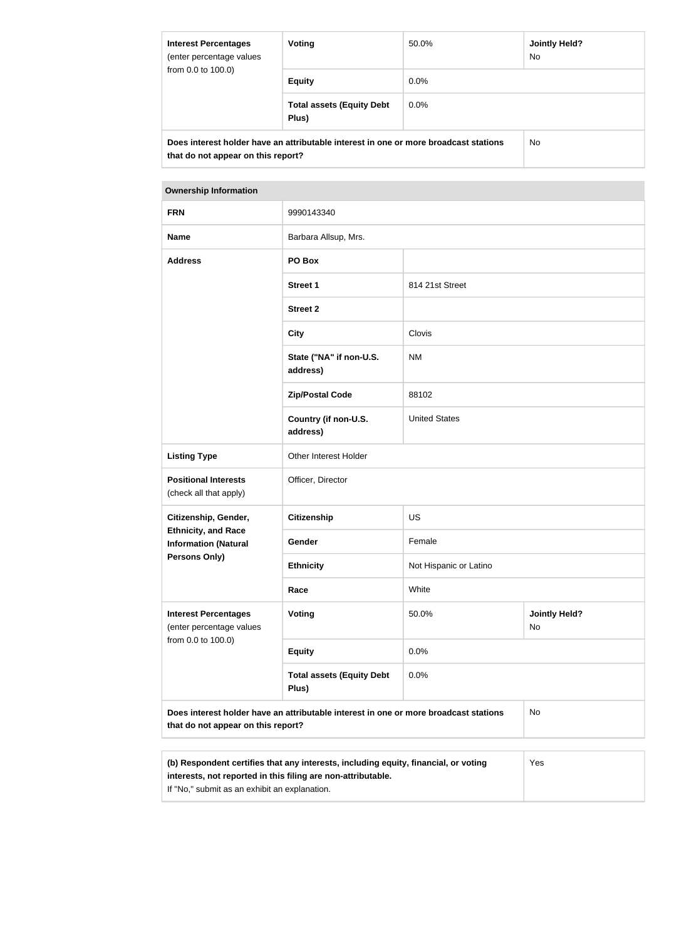| <b>Interest Percentages</b><br>(enter percentage values<br>from 0.0 to 100.0)                                              | Voting                                    | 50.0%   | <b>Jointly Held?</b><br>No. |
|----------------------------------------------------------------------------------------------------------------------------|-------------------------------------------|---------|-----------------------------|
|                                                                                                                            | <b>Equity</b>                             | $0.0\%$ |                             |
|                                                                                                                            | <b>Total assets (Equity Debt</b><br>Plus) | $0.0\%$ |                             |
| Does interest holder have an attributable interest in one or more broadcast stations<br>that do not appear on this report? |                                           |         | No.                         |

#### **Ownership Information**

| <b>FRN</b>                                                                                                                 | 9990143340                                |                        |                            |  |
|----------------------------------------------------------------------------------------------------------------------------|-------------------------------------------|------------------------|----------------------------|--|
| <b>Name</b>                                                                                                                | Barbara Allsup, Mrs.                      |                        |                            |  |
| <b>Address</b>                                                                                                             | PO Box                                    |                        |                            |  |
|                                                                                                                            | <b>Street 1</b>                           | 814 21st Street        |                            |  |
|                                                                                                                            | <b>Street 2</b>                           |                        |                            |  |
|                                                                                                                            | <b>City</b>                               | Clovis                 |                            |  |
|                                                                                                                            | State ("NA" if non-U.S.<br>address)       | <b>NM</b>              |                            |  |
|                                                                                                                            | <b>Zip/Postal Code</b>                    | 88102                  |                            |  |
|                                                                                                                            | Country (if non-U.S.<br>address)          | <b>United States</b>   |                            |  |
| <b>Listing Type</b>                                                                                                        | Other Interest Holder                     |                        |                            |  |
| <b>Positional Interests</b><br>(check all that apply)                                                                      | Officer, Director                         |                        |                            |  |
| Citizenship, Gender,                                                                                                       | <b>Citizenship</b>                        | US                     |                            |  |
| <b>Ethnicity, and Race</b><br><b>Information (Natural</b>                                                                  | Gender                                    | Female                 |                            |  |
| <b>Persons Only)</b>                                                                                                       | <b>Ethnicity</b>                          | Not Hispanic or Latino |                            |  |
|                                                                                                                            | Race                                      | White                  |                            |  |
| <b>Interest Percentages</b><br>(enter percentage values<br>from 0.0 to 100.0)                                              | <b>Voting</b>                             | 50.0%                  | <b>Jointly Held?</b><br>No |  |
|                                                                                                                            | <b>Equity</b>                             | 0.0%                   |                            |  |
|                                                                                                                            | <b>Total assets (Equity Debt</b><br>Plus) | 0.0%                   |                            |  |
| Does interest holder have an attributable interest in one or more broadcast stations<br>that do not appear on this report? |                                           |                        | <b>No</b>                  |  |
|                                                                                                                            |                                           |                        |                            |  |
|                                                                                                                            |                                           |                        |                            |  |

| (b) Respondent certifies that any interests, including equity, financial, or voting | Yes |
|-------------------------------------------------------------------------------------|-----|
| interests, not reported in this filing are non-attributable.                        |     |
| If "No," submit as an exhibit an explanation.                                       |     |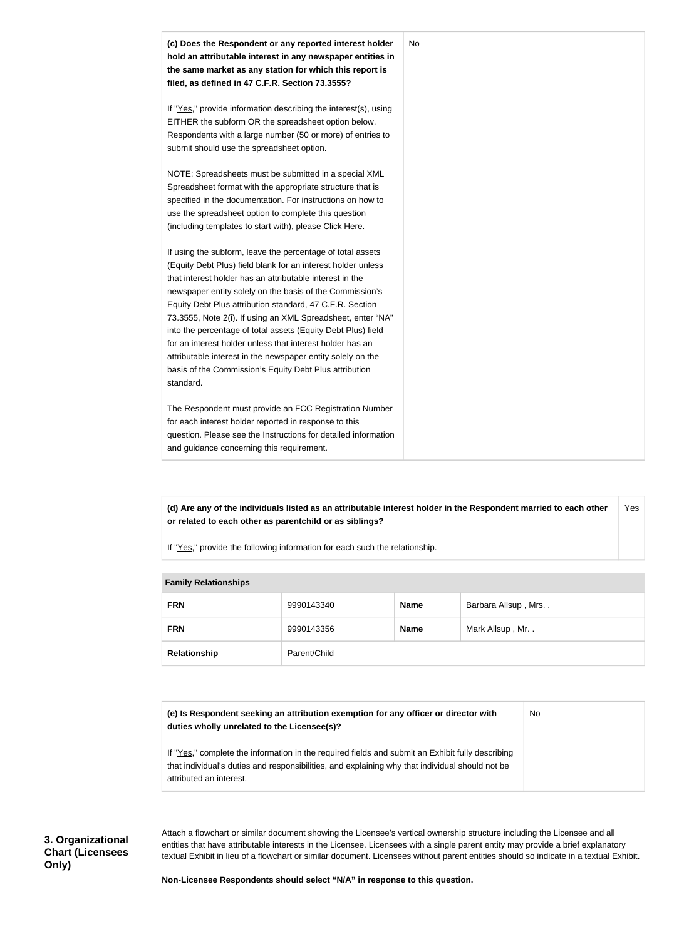

**(d) Are any of the individuals listed as an attributable interest holder in the Respondent married to each other or related to each other as parentchild or as siblings?** Yes

If "Yes," provide the following information for each such the relationship.

| <b>Fallilly INGIALIVIISHIPS</b> |              |             |                     |
|---------------------------------|--------------|-------------|---------------------|
| <b>FRN</b>                      | 9990143340   | <b>Name</b> | Barbara Allsup, Mrs |
| <b>FRN</b>                      | 9990143356   | <b>Name</b> | Mark Allsup, Mr     |
| Relationship                    | Parent/Child |             |                     |

#### **Family Relationships**

| (e) Is Respondent seeking an attribution exemption for any officer or director with | No |
|-------------------------------------------------------------------------------------|----|
| duties wholly unrelated to the Licensee(s)?                                         |    |

If "Yes," complete the information in the required fields and submit an Exhibit fully describing that individual's duties and responsibilities, and explaining why that individual should not be attributed an interest.

**3. Organizational Chart (Licensees Only)**

Attach a flowchart or similar document showing the Licensee's vertical ownership structure including the Licensee and all entities that have attributable interests in the Licensee. Licensees with a single parent entity may provide a brief explanatory textual Exhibit in lieu of a flowchart or similar document. Licensees without parent entities should so indicate in a textual Exhibit.

**Non-Licensee Respondents should select "N/A" in response to this question.**